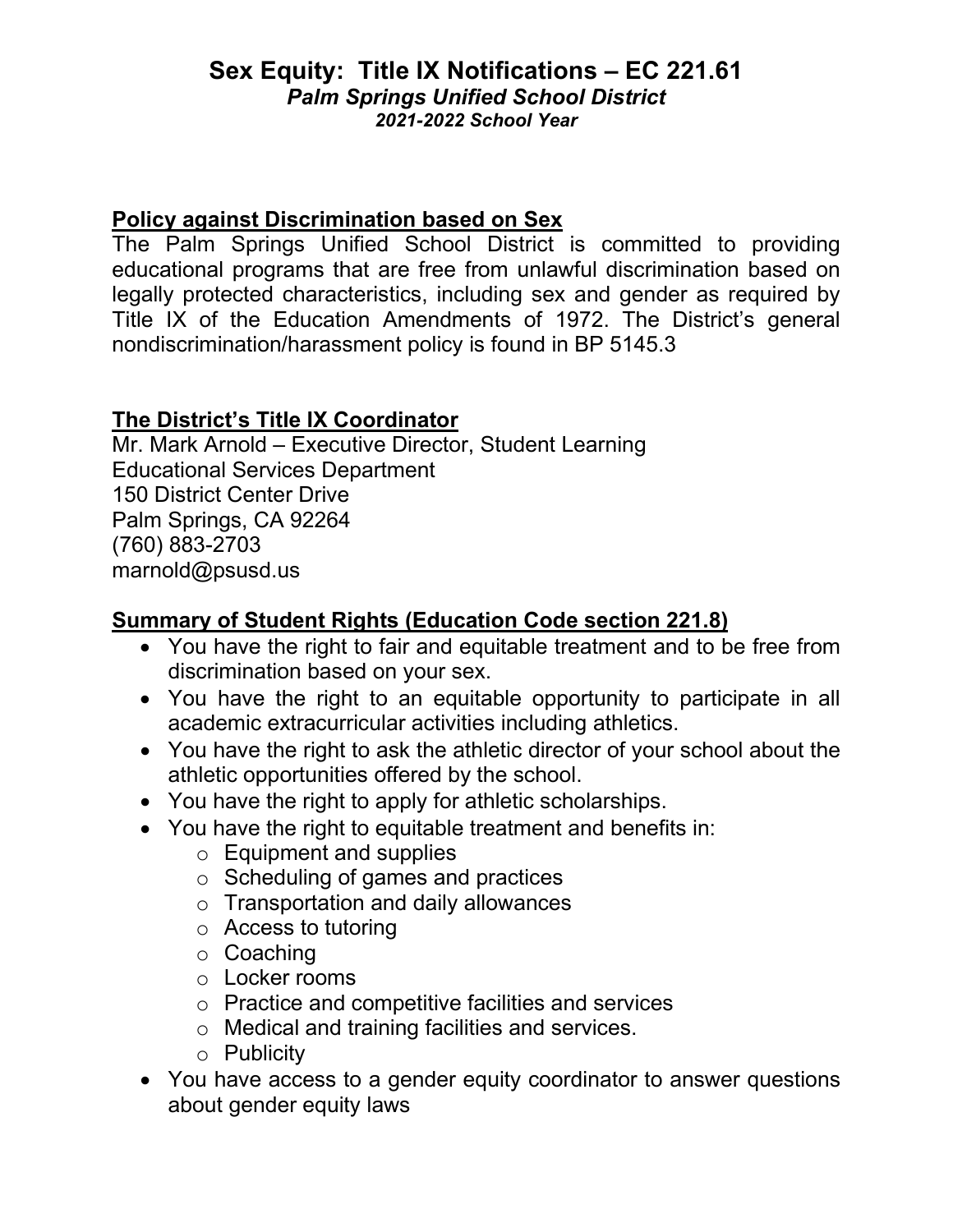## **Sex Equity: Title IX Notifications – EC 221.61** *Palm Springs Unified School District 2021-2022 School Year*

### **Policy against Discrimination based on Sex**

The Palm Springs Unified School District is committed to providing educational programs that are free from unlawful discrimination based on legally protected characteristics, including sex and gender as required by Title IX of the Education Amendments of 1972. The District's general nondiscrimination/harassment policy is found in BP 5145.3

## **The District's Title IX Coordinator**

Mr. Mark Arnold – Executive Director, Student Learning Educational Services Department 150 District Center Drive Palm Springs, CA 92264 (760) 883-2703 marnold@psusd.us

# **Summary of Student Rights (Education Code section 221.8)**

- You have the right to fair and equitable treatment and to be free from discrimination based on your sex.
- You have the right to an equitable opportunity to participate in all academic extracurricular activities including athletics.
- You have the right to ask the athletic director of your school about the athletic opportunities offered by the school.
- You have the right to apply for athletic scholarships.
- You have the right to equitable treatment and benefits in:
	- o Equipment and supplies
	- $\circ$  Scheduling of games and practices
	- $\circ$  Transportation and daily allowances
	- o Access to tutoring
	- o Coaching
	- o Locker rooms
	- o Practice and competitive facilities and services
	- o Medical and training facilities and services.
	- o Publicity
- You have access to a gender equity coordinator to answer questions about gender equity laws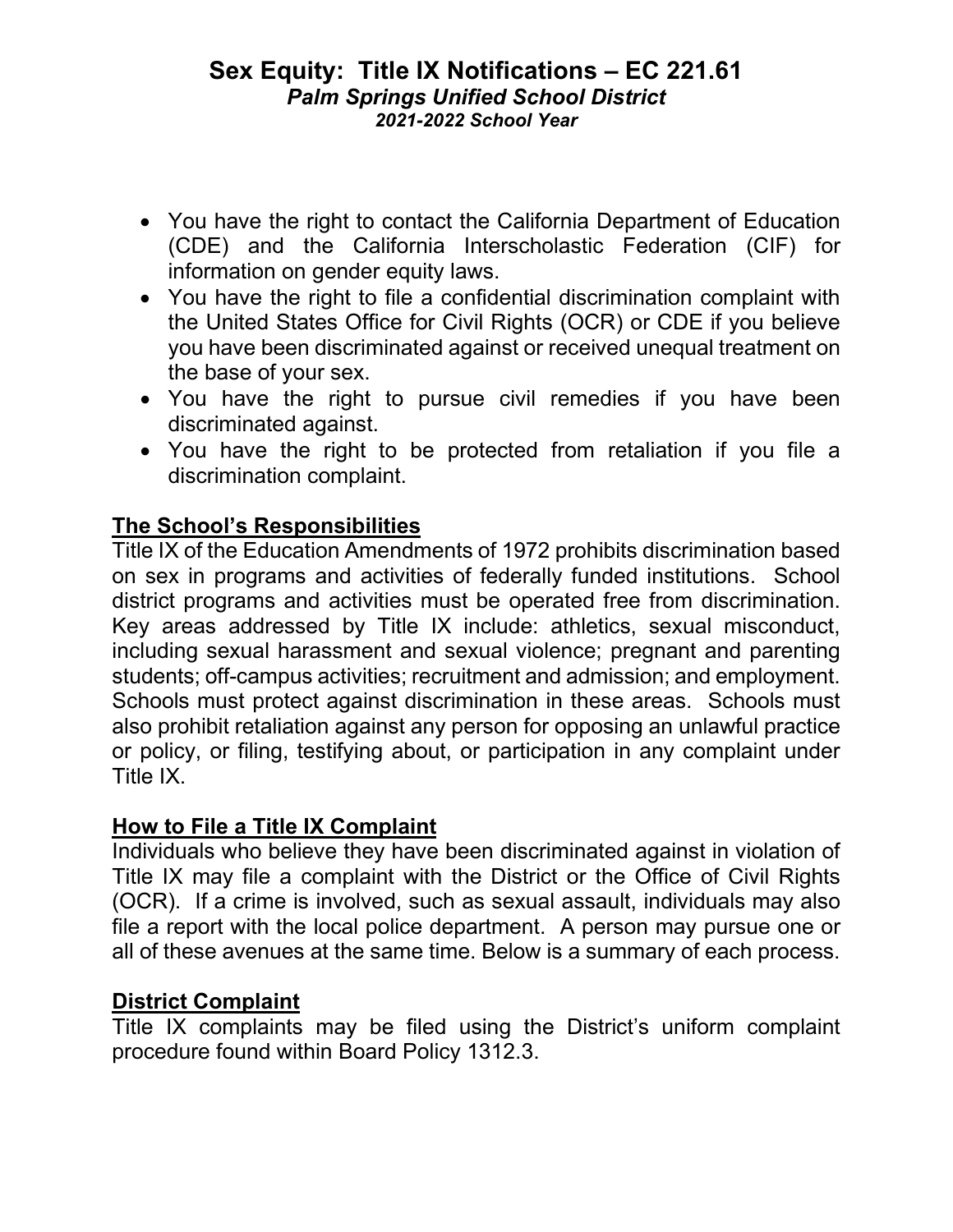### **Sex Equity: Title IX Notifications – EC 221.61** *Palm Springs Unified School District 2021-2022 School Year*

- You have the right to contact the California Department of Education (CDE) and the California Interscholastic Federation (CIF) for information on gender equity laws.
- You have the right to file a confidential discrimination complaint with the United States Office for Civil Rights (OCR) or CDE if you believe you have been discriminated against or received unequal treatment on the base of your sex.
- You have the right to pursue civil remedies if you have been discriminated against.
- You have the right to be protected from retaliation if you file a discrimination complaint.

# **The School's Responsibilities**

Title IX of the Education Amendments of 1972 prohibits discrimination based on sex in programs and activities of federally funded institutions. School district programs and activities must be operated free from discrimination. Key areas addressed by Title IX include: athletics, sexual misconduct, including sexual harassment and sexual violence; pregnant and parenting students; off-campus activities; recruitment and admission; and employment. Schools must protect against discrimination in these areas. Schools must also prohibit retaliation against any person for opposing an unlawful practice or policy, or filing, testifying about, or participation in any complaint under Title IX.

# **How to File a Title IX Complaint**

Individuals who believe they have been discriminated against in violation of Title IX may file a complaint with the District or the Office of Civil Rights (OCR). If a crime is involved, such as sexual assault, individuals may also file a report with the local police department. A person may pursue one or all of these avenues at the same time. Below is a summary of each process.

## **District Complaint**

Title IX complaints may be filed using the District's uniform complaint procedure found within Board Policy 1312.3.